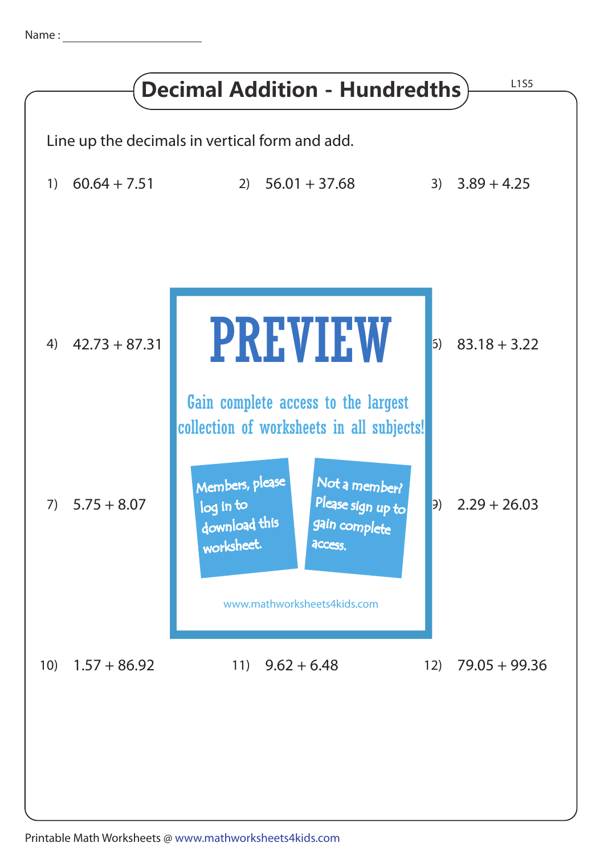